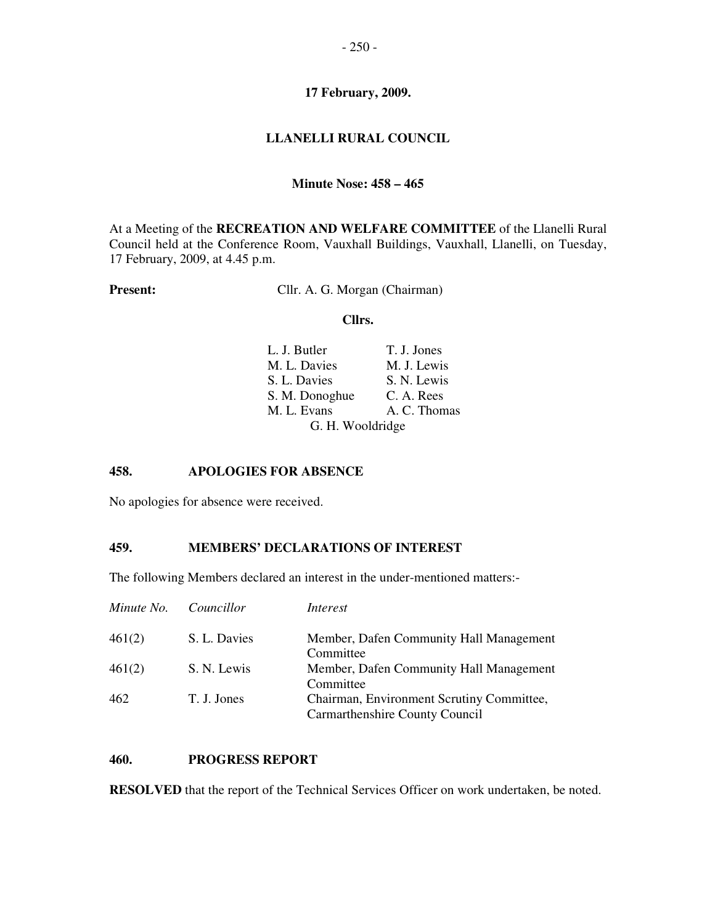# **17 February, 2009.**

# **LLANELLI RURAL COUNCIL**

#### **Minute Nose: 458 – 465**

At a Meeting of the **RECREATION AND WELFARE COMMITTEE** of the Llanelli Rural Council held at the Conference Room, Vauxhall Buildings, Vauxhall, Llanelli, on Tuesday, 17 February, 2009, at 4.45 p.m.

**Present:** Cllr. A. G. Morgan (Chairman)

#### **Cllrs.**

| L. J. Butler     | T. J. Jones  |
|------------------|--------------|
| M. L. Davies     | M. J. Lewis  |
| S. L. Davies     | S. N. Lewis  |
| S. M. Donoghue   | C. A. Rees   |
| M. L. Evans      | A. C. Thomas |
| G. H. Wooldridge |              |

### **458. APOLOGIES FOR ABSENCE**

No apologies for absence were received.

# **459. MEMBERS' DECLARATIONS OF INTEREST**

The following Members declared an interest in the under-mentioned matters:-

| Minute No. | Councillor   | Interest                                                                    |
|------------|--------------|-----------------------------------------------------------------------------|
| 461(2)     | S. L. Davies | Member, Dafen Community Hall Management<br>Committee                        |
| 461(2)     | S. N. Lewis  | Member, Dafen Community Hall Management<br>Committee                        |
| 462        | T. J. Jones  | Chairman, Environment Scrutiny Committee,<br>Carmarthenshire County Council |

# **460. PROGRESS REPORT**

**RESOLVED** that the report of the Technical Services Officer on work undertaken, be noted.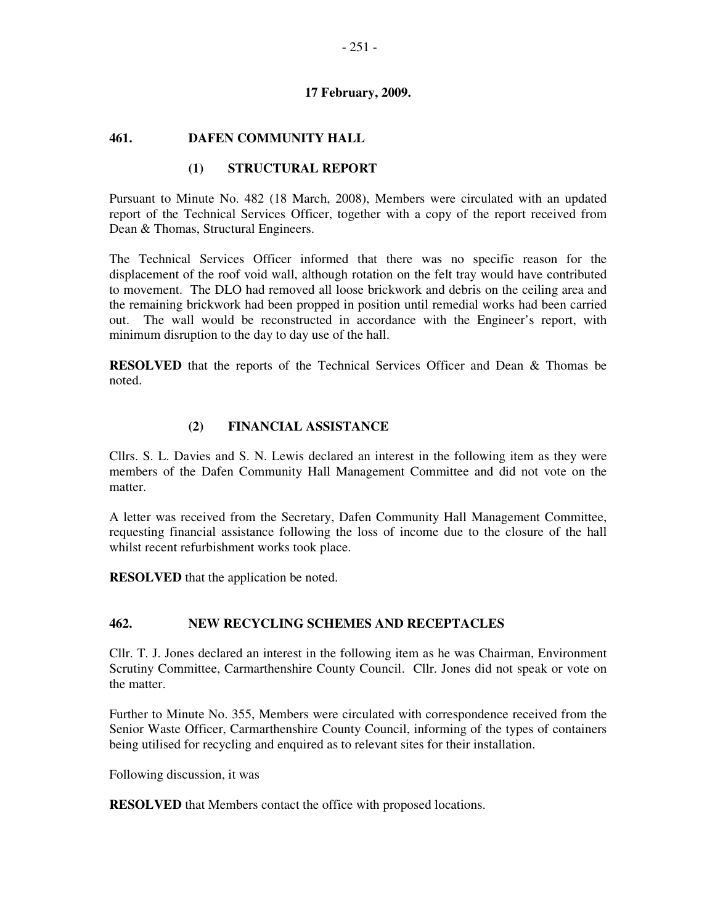#### **17 February, 2009.**

## **461. DAFEN COMMUNITY HALL**

## **(1) STRUCTURAL REPORT**

Pursuant to Minute No. 482 (18 March, 2008), Members were circulated with an updated report of the Technical Services Officer, together with a copy of the report received from Dean & Thomas, Structural Engineers.

The Technical Services Officer informed that there was no specific reason for the displacement of the roof void wall, although rotation on the felt tray would have contributed to movement. The DLO had removed all loose brickwork and debris on the ceiling area and the remaining brickwork had been propped in position until remedial works had been carried out. The wall would be reconstructed in accordance with the Engineer's report, with minimum disruption to the day to day use of the hall.

**RESOLVED** that the reports of the Technical Services Officer and Dean & Thomas be noted.

# **(2) FINANCIAL ASSISTANCE**

Cllrs. S. L. Davies and S. N. Lewis declared an interest in the following item as they were members of the Dafen Community Hall Management Committee and did not vote on the matter.

A letter was received from the Secretary, Dafen Community Hall Management Committee, requesting financial assistance following the loss of income due to the closure of the hall whilst recent refurbishment works took place.

**RESOLVED** that the application be noted.

### **462. NEW RECYCLING SCHEMES AND RECEPTACLES**

Cllr. T. J. Jones declared an interest in the following item as he was Chairman, Environment Scrutiny Committee, Carmarthenshire County Council. Cllr. Jones did not speak or vote on the matter.

Further to Minute No. 355, Members were circulated with correspondence received from the Senior Waste Officer, Carmarthenshire County Council, informing of the types of containers being utilised for recycling and enquired as to relevant sites for their installation.

Following discussion, it was

**RESOLVED** that Members contact the office with proposed locations.